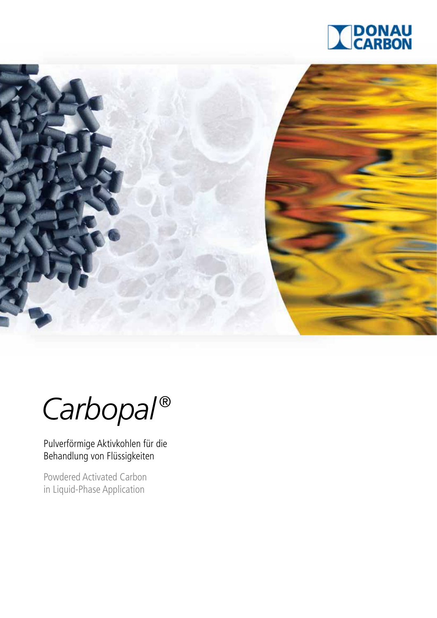



*Carbopal ®*

Pulverförmige Aktivkohlen für die Behandlung von Flüssigkeiten

Powdered Activated Carbon in Liquid-Phase Application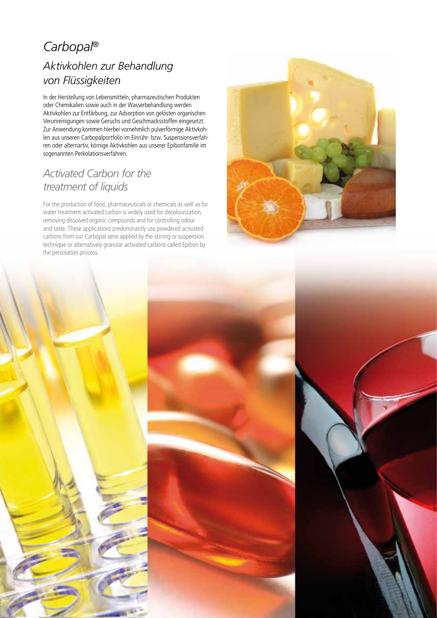# *Aktivkohlen zur Behandlung von Flüssigkeiten Carbopal*®

In der Herstellung von Lebensmitteln, pharmazeutischen Produkten oder Chemikalien sowie auch in der Wasserbehandlung werden Aktivkohlen zur Entfärbung, zur Adsorption von gelösten organischen Verunreinigungen sowie Geruchs und Geschmacksstoffen eingesetzt. Zur Anwendung kommen hierbei vornehmlich pulverförmige Aktivkohlen aus unseren Carbopalportfolio im Einrühr- bzw. Suspensionsverfahren oder alternartiv, körnige Aktivkohlen aus unserer Epibonfamilie im sogenannten Perkolationsverfahren.

# *Activated Carbon for the treatment of liquids*

For the production of food, pharmaceuticals or chemicals as well as for water treatment activated carbon is widely used for decolourization, removing dissolved organic compounds and for controlling odour and taste. These applications predominantly use powdered activated carbons from our Carbopal serie applied by the stirring or suspension technique or alternatively granular activated carbons called Epibon by the percolation process.



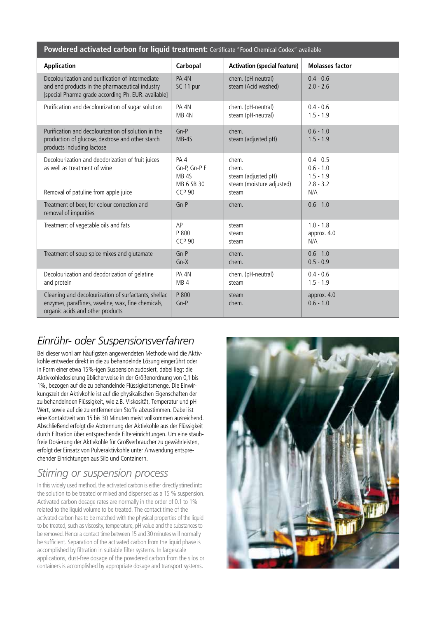| Powdered activated carbon for liquid treatment: Certificate "Food Chemical Codex" available                                                                |                                                                        |                                                                             |                                                                 |
|------------------------------------------------------------------------------------------------------------------------------------------------------------|------------------------------------------------------------------------|-----------------------------------------------------------------------------|-----------------------------------------------------------------|
| <b>Application</b>                                                                                                                                         | Carbopal                                                               | <b>Activation (special feature)</b>                                         | <b>Molasses factor</b>                                          |
| Decolourization and purification of intermediate<br>and end products in the pharmaceutical industry<br>[special Pharma grade according Ph. EUR. available] | PA 4N<br>SC 11 pur                                                     | chem. (pH-neutral)<br>steam (Acid washed)                                   | $0.4 - 0.6$<br>$2.0 - 2.6$                                      |
| Purification and decolourization of sugar solution                                                                                                         | PA 4N<br>MB <sub>4N</sub>                                              | chem. (pH-neutral)<br>steam (pH-neutral)                                    | $0.4 - 0.6$<br>$1.5 - 1.9$                                      |
| Purification and decolourization of solution in the<br>production of glucose, dextrose and other starch<br>products including lactose                      | $Gn-P$<br>$MB-4S$                                                      | chem.<br>steam (adjusted pH)                                                | $0.6 - 1.0$<br>$1.5 - 1.9$                                      |
| Decolourization and deodorization of fruit juices<br>as well as treatment of wine<br>Removal of patuline from apple juice                                  | PA4<br>Gn-P, Gn-P F<br>MB <sub>4S</sub><br>MB 6 SB 30<br><b>CCP 90</b> | chem.<br>chem.<br>steam (adjusted pH)<br>steam (moisture adjusted)<br>steam | $0.4 - 0.5$<br>$0.6 - 1.0$<br>$1.5 - 1.9$<br>$2.8 - 3.2$<br>N/A |
| Treatment of beer, for colour correction and<br>removal of impurities                                                                                      | $Gn-P$                                                                 | chem.                                                                       | $0.6 - 1.0$                                                     |
| Treatment of vegetable oils and fats                                                                                                                       | AP<br>P 800<br><b>CCP 90</b>                                           | steam<br>steam<br>steam                                                     | $1.0 - 1.8$<br>approx. 4.0<br>N/A                               |
| Treatment of soup spice mixes and glutamate                                                                                                                | $Gn-P$<br>$Gn-X$                                                       | chem.<br>chem.                                                              | $0.6 - 1.0$<br>$0.5 - 0.9$                                      |
| Decolourization and deodorization of gelatine<br>and protein                                                                                               | PA 4N<br>MB <sub>4</sub>                                               | chem. (pH-neutral)<br>steam                                                 | $0.4 - 0.6$<br>$1.5 - 1.9$                                      |
| Cleaning and decolourization of surfactants, shellac<br>enzymes, paraffines, vaseline, wax, fine chemicals,<br>organic acids and other products            | P 800<br>$Gn-P$                                                        | steam<br>chem.                                                              | approx. 4.0<br>$0.6 - 1.0$                                      |

## *Einrühr- oder Suspensionsverfahren*

Bei dieser wohl am häufigsten angewendeten Methode wird die Aktivkohle entweder direkt in die zu behandelnde Lösung eingerührt oder in Form einer etwa 15%-igen Suspension zudosiert, dabei liegt die Aktivkohledosierung üblicherweise in der Größenordnung von 0,1 bis 1%, bezogen auf die zu behandelnde Flüssigkeitsmenge. Die Einwirkungszeit der Aktivkohle ist auf die physikalischen Eigenschaften der zu behandelnden Flüssigkeit, wie z.B. Viskosität, Temperatur und pH-Wert, sowie auf die zu entfernenden Stoffe abzustimmen. Dabei ist eine Kontaktzeit von 15 bis 30 Minuten meist vollkommen ausreichend. Abschließend erfolgt die Abtrennung der Aktivkohle aus der Flüssigkeit durch Filtration über entsprechende Filtereinrichtungen. Um eine staubfreie Dosierung der Aktivkohle für Großverbraucher zu gewährleisten, erfolgt der Einsatz von Pulveraktivkohle unter Anwendung entsprechender Einrichtungen aus Silo und Containern.

## *Stirring or suspension process*

In this widely used method, the activated carbon is either directly stirred into the solution to be treated or mixed and dispensed as a 15 % suspension. Activated carbon dosage rates are normally in the order of 0.1 to 1% related to the liquid volume to be treated. The contact time of the activated carbon has to be matched with the physical properties of the liquid to be treated, such as viscosity, temperature, pH value and the substances to be removed. Hence a contact time between 15 and 30 minutes will normally be sufficient. Separation of the activated carbon from the liquid phase is accomplished by filtration in suitable filter systems. In largescale applications, dust-free dosage of the powdered carbon from the silos or containers is accomplished by appropriate dosage and transport systems.

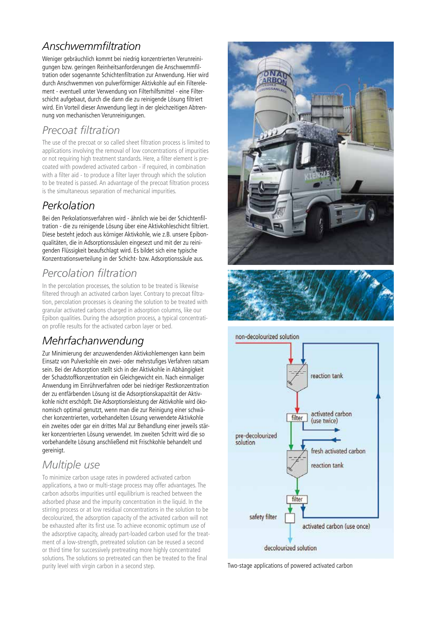# *Anschwemmfiltration*

Weniger gebräuchlich kommt bei niedrig konzentrierten Verunreinigungen bzw. geringen Reinheitsanforderungen die Anschwemmfiltration oder sogenannte Schichtenfiltration zur Anwendung. Hier wird durch Anschwemmen von pulverförmiger Aktivkohle auf ein Filterelement - eventuell unter Verwendung von Filterhilfsmittel - eine Filterschicht aufgebaut, durch die dann die zu reinigende Lösung filtriert wird. Ein Vorteil dieser Anwendung liegt in der gleichzeitigen Abtrennung von mechanischen Verunreinigungen.

## *Precoat filtration*

The use of the precoat or so called sheet filtration process is limited to applications involving the removal of low concentrations of impurities or not requiring high treatment standards. Here, a filter element is precoated with powdered activated carbon - if required, in combination with a filter aid - to produce a filter layer through which the solution to be treated is passed. An advantage of the precoat filtration process is the simultaneous separation of mechanical impurities.

## *Perkolation*

Bei den Perkolationsverfahren wird - ähnlich wie bei der Schichtenfiltration - die zu reinigende Lösung über eine Aktivkohleschicht filtriert. Diese besteht jedoch aus körniger Aktivkohle, wie z.B. unsere Epibonqualitäten, die in Adsorptionssäulen eingesezt und mit der zu reinigenden Flüssigkeit beaufschlagt wird. Es bildet sich eine typische Konzentrationsverteilung in der Schicht- bzw. Adsorptionssäule aus.

# *Percolation filtration*

In the percolation processes, the solution to be treated is likewise filtered through an activated carbon layer. Contrary to precoat filtration, percolation processes is cleaning the solution to be treated with granular activated carbons charged in adsorption columns, like our Epibon qualities. During the adsorption process, a typical concentration profile results for the activated carbon layer or bed.

# *Mehrfachanwendung*

Zur Minimierung der anzuwendenden Aktivkohlemengen kann beim Einsatz von Pulverkohle ein zwei- oder mehrstufiges Verfahren ratsam sein. Bei der Adsorption stellt sich in der Aktivkohle in Abhängigkeit der Schadstoffkonzentration ein Gleichgewicht ein. Nach einmaliger Anwendung im Einrührverfahren oder bei niedriger Restkonzentration der zu entfärbenden Lösung ist die Adsorptionskapazität der Aktivkohle nicht erschöpft. Die Adsorptionsleistung der Aktivkohle wird ökonomisch optimal genutzt, wenn man die zur Reinigung einer schwächer konzentrierten, vorbehandelten Lösung verwendete Aktivkohle ein zweites oder gar ein drittes Mal zur Behandlung einer jeweils stärker konzentrierten Lösung verwendet. Im zweiten Schritt wird die so vorbehandelte Lösung anschließend mit Frischkohle behandelt und gereinigt.

# *Multiple use*

To minimize carbon usage rates in powdered activated carbon applications, a two or multi-stage process may offer advantages. The carbon adsorbs impurities until equilibrium is reached between the adsorbed phase and the impurity concentration in the liquid. In the stirring process or at low residual concentrations in the solution to be decolourized, the adsorption capacity of the activated carbon will not be exhausted after its first use. To achieve economic optimum use of the adsorptive capacity, already part-loaded carbon used for the treatment of a low-strength, pretreated solution can be reused a second or third time for successively pretreating more highly concentrated solutions. The solutions so pretreated can then be treated to the final purity level with virgin carbon in a second step. The state of two-stage applications of powered activated carbon





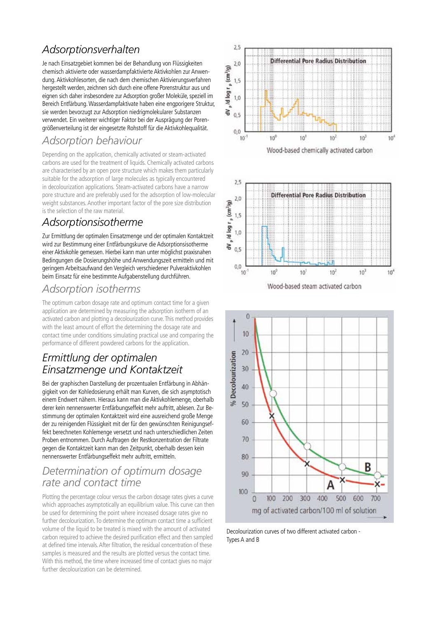## *Adsorptionsverhalten*

Je nach Einsatzgebiet kommen bei der Behandlung von Flüssigkeiten chemisch aktivierte oder wasserdampfaktivierte Aktivkohlen zur Anwendung. Aktivkohlesorten, die nach dem chemischen Aktivierungsverfahren hergestellt werden, zeichnen sich durch eine offene Porenstruktur aus und eignen sich daher insbesondere zur Adsorption großer Moleküle, speziell im Bereich Entfärbung. Wasserdampfaktivate haben eine engporigere Struktur, sie werden bevorzugt zur Adsorption niedrigmolekularer Substanzen verwendet. Ein weiterer wichtiger Faktor bei der Ausprägung der Porengrößenverteilung ist der eingesetzte Rohstoff für die Aktivkohlequalität.

## *Adsorption behaviour*

Depending on the application, chemically activated or steam-activated carbons are used for the treatment of liquids. Chemically activated carbons are characterised by an open pore structure which makes them particularly suitable for the adsorption of large molecules as typically encountered in decolourization applications. Steam-activated carbons have a narrow pore structure and are preferably used for the adsorption of low-molecular weight substances. Another important factor of the pore size distribution is the selection of the raw material.

## *Adsorptionsisotherme*

Zur Ermittlung der optimalen Einsatzmenge und der optimalen Kontaktzeit wird zur Bestimmung einer Entfärbungskurve die Adsorptionsisotherme einer Aktivkohle gemessen. Hierbei kann man unter möglichst praxisnahen Bedingungen die Dosierungshöhe und Anwendungszeit ermitteln und mit geringem Arbeitsaufwand den Vergleich verschiedener Pulveraktivkohlen beim Einsatz für eine bestimmte Aufgabenstellung durchführen.

## *Adsorption isotherms*

The optimum carbon dosage rate and optimum contact time for a given application are determined by measuring the adsorption isotherm of an activated carbon and plotting a decolourization curve. This method provides with the least amount of effort the determining the dosage rate and contact time under conditions simulating practical use and comparing the performance of different powdered carbons for the application.

## *Ermittlung der optimalen Einsatzmenge und Kontaktzeit*

Bei der graphischen Darstellung der prozentualen Entfärbung in Abhängigkeit von der Kohledosierung erhält man Kurven, die sich asymptotisch einem Endwert nähern. Hieraus kann man die Aktivkohlemenge, oberhalb derer kein nennenswerter Entfärbungseffekt mehr auftritt, ablesen. Zur Bestimmung der optimalen Kontaktzeit wird eine ausreichend große Menge der zu reinigenden Flüssigkeit mit der für den gewünschten Reinigungseffekt berechneten Kohlemenge versetzt und nach unterschiedlichen Zeiten Proben entnommen. Durch Auftragen der Restkonzentration der Filtrate gegen die Kontaktzeit kann man den Zeitpunkt, oberhalb dessen kein nennenswerter Entfärbungseffekt mehr auftritt, ermitteln.

### *Determination of optimum dosage rate and contact time*

Plotting the percentage colour versus the carbon dosage rates gives a curve which approaches asymptotically an equilibrium value. This curve can then be used for determining the point where increased dosage rates give no further decolourization. To determine the optimum contact time a sufficient volume of the liquid to be treated is mixed with the amount of activated carbon required to achieve the desired purification effect and then sampled at defined time intervals. After filtration, the residual concentration of these samples is measured and the results are plotted versus the contact time. With this method, the time where increased time of contact gives no major further decolourization can be determined.





Decolourization curves of two different activated carbon - Types A and B